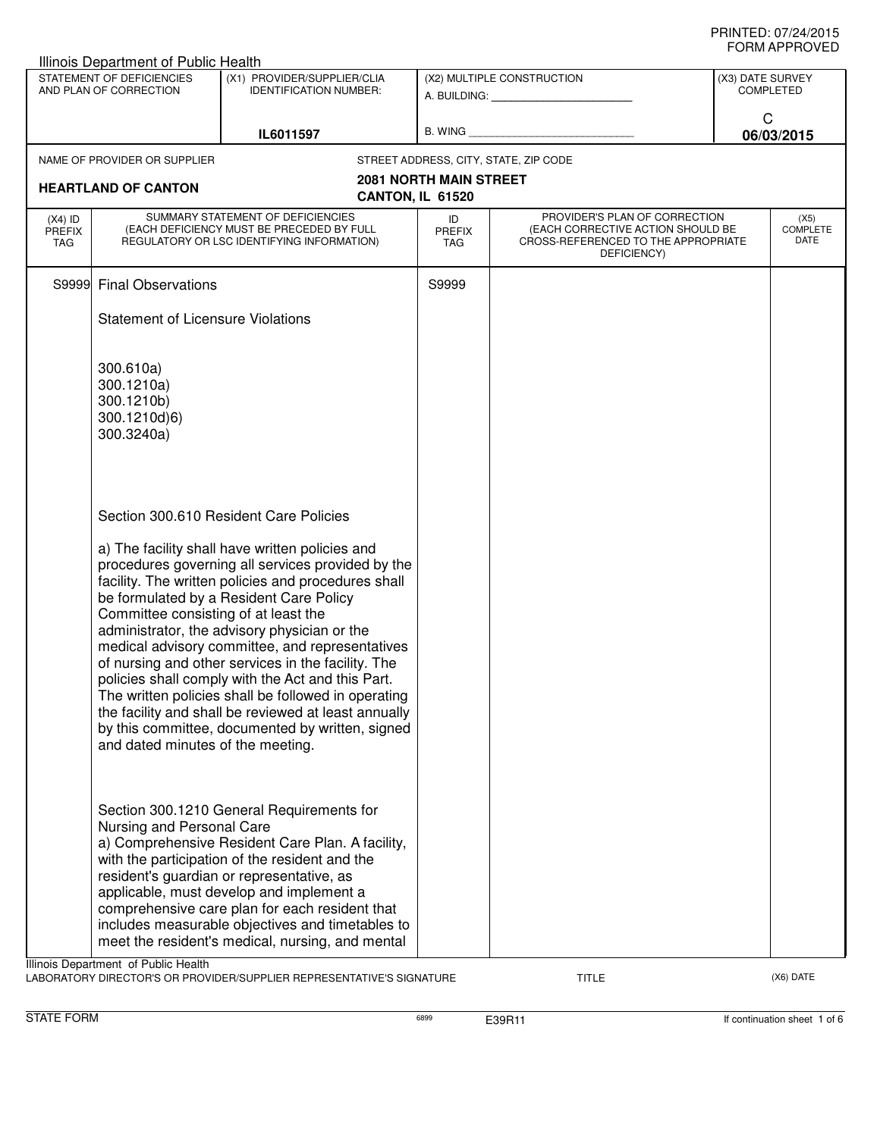| Illinois Department of Public Health                                                                                |                                                                           |                                                                                                                                                                                                                                                                                                                                                                                                                                                                                                                                                                                                                                   |                               |                                                                                                                          |   |                                 |  |
|---------------------------------------------------------------------------------------------------------------------|---------------------------------------------------------------------------|-----------------------------------------------------------------------------------------------------------------------------------------------------------------------------------------------------------------------------------------------------------------------------------------------------------------------------------------------------------------------------------------------------------------------------------------------------------------------------------------------------------------------------------------------------------------------------------------------------------------------------------|-------------------------------|--------------------------------------------------------------------------------------------------------------------------|---|---------------------------------|--|
| STATEMENT OF DEFICIENCIES<br>(X1) PROVIDER/SUPPLIER/CLIA<br>AND PLAN OF CORRECTION<br><b>IDENTIFICATION NUMBER:</b> |                                                                           |                                                                                                                                                                                                                                                                                                                                                                                                                                                                                                                                                                                                                                   | (X2) MULTIPLE CONSTRUCTION    | (X3) DATE SURVEY<br><b>COMPLETED</b>                                                                                     |   |                                 |  |
|                                                                                                                     |                                                                           | IL6011597                                                                                                                                                                                                                                                                                                                                                                                                                                                                                                                                                                                                                         |                               | B. WING <b>Example 2008</b>                                                                                              | C | 06/03/2015                      |  |
|                                                                                                                     | NAME OF PROVIDER OR SUPPLIER                                              |                                                                                                                                                                                                                                                                                                                                                                                                                                                                                                                                                                                                                                   |                               | STREET ADDRESS, CITY, STATE, ZIP CODE                                                                                    |   |                                 |  |
|                                                                                                                     | <b>HEARTLAND OF CANTON</b>                                                | CANTON, IL 61520                                                                                                                                                                                                                                                                                                                                                                                                                                                                                                                                                                                                                  | <b>2081 NORTH MAIN STREET</b> |                                                                                                                          |   |                                 |  |
| $(X4)$ ID<br><b>PREFIX</b><br><b>TAG</b>                                                                            |                                                                           | SUMMARY STATEMENT OF DEFICIENCIES<br>(EACH DEFICIENCY MUST BE PRECEDED BY FULL<br>REGULATORY OR LSC IDENTIFYING INFORMATION)                                                                                                                                                                                                                                                                                                                                                                                                                                                                                                      | ID<br><b>PREFIX</b><br>TAG    | PROVIDER'S PLAN OF CORRECTION<br>(EACH CORRECTIVE ACTION SHOULD BE<br>CROSS-REFERENCED TO THE APPROPRIATE<br>DEFICIENCY) |   | (X5)<br><b>COMPLETE</b><br>DATE |  |
|                                                                                                                     | S9999 Final Observations                                                  |                                                                                                                                                                                                                                                                                                                                                                                                                                                                                                                                                                                                                                   | S9999                         |                                                                                                                          |   |                                 |  |
|                                                                                                                     | <b>Statement of Licensure Violations</b>                                  |                                                                                                                                                                                                                                                                                                                                                                                                                                                                                                                                                                                                                                   |                               |                                                                                                                          |   |                                 |  |
|                                                                                                                     | 300.610a)<br>300.1210a)<br>300.1210b)<br>300.1210d)6)<br>300.3240a)       |                                                                                                                                                                                                                                                                                                                                                                                                                                                                                                                                                                                                                                   |                               |                                                                                                                          |   |                                 |  |
|                                                                                                                     | Committee consisting of at least the<br>and dated minutes of the meeting. | Section 300.610 Resident Care Policies<br>a) The facility shall have written policies and<br>procedures governing all services provided by the<br>facility. The written policies and procedures shall<br>be formulated by a Resident Care Policy<br>administrator, the advisory physician or the<br>medical advisory committee, and representatives<br>of nursing and other services in the facility. The<br>policies shall comply with the Act and this Part.<br>The written policies shall be followed in operating<br>the facility and shall be reviewed at least annually<br>by this committee, documented by written, signed |                               |                                                                                                                          |   |                                 |  |
|                                                                                                                     | Nursing and Personal Care<br>Illinois Department of Public Health         | Section 300.1210 General Requirements for<br>a) Comprehensive Resident Care Plan. A facility,<br>with the participation of the resident and the<br>resident's guardian or representative, as<br>applicable, must develop and implement a<br>comprehensive care plan for each resident that<br>includes measurable objectives and timetables to<br>meet the resident's medical, nursing, and mental                                                                                                                                                                                                                                |                               |                                                                                                                          |   |                                 |  |

LABORATORY DIRECTOR'S OR PROVIDER/SUPPLIER REPRESENTATIVE'S SIGNATURE TITLE TITLE THE CONSERVATION OF THE CONST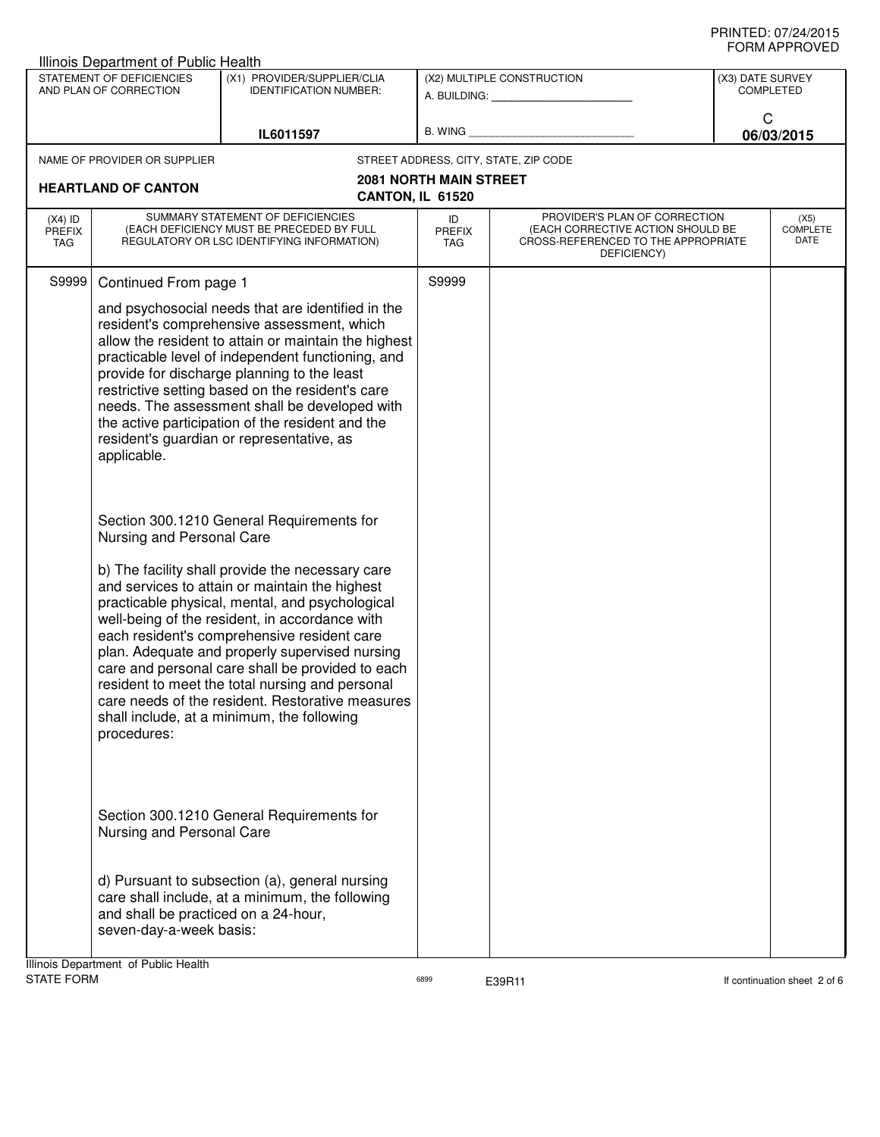| STATEMENT OF DEFICIENCIES<br>AND PLAN OF CORRECTION                                                                                                        | (X1) PROVIDER/SUPPLIER/CLIA<br><b>IDENTIFICATION NUMBER:</b>      | A. BUILDING: A. BUILDING:                                                                                                                                                                                                                                                                                                                                                                                                                                                                                                                                                                                                                                                                                                                                                                                                                                                                                                                                                                                                                                                                                                                                                                                                                                                                                                                   | (X2) MULTIPLE CONSTRUCTION            | (X3) DATE SURVEY              |                                                                                                           |
|------------------------------------------------------------------------------------------------------------------------------------------------------------|-------------------------------------------------------------------|---------------------------------------------------------------------------------------------------------------------------------------------------------------------------------------------------------------------------------------------------------------------------------------------------------------------------------------------------------------------------------------------------------------------------------------------------------------------------------------------------------------------------------------------------------------------------------------------------------------------------------------------------------------------------------------------------------------------------------------------------------------------------------------------------------------------------------------------------------------------------------------------------------------------------------------------------------------------------------------------------------------------------------------------------------------------------------------------------------------------------------------------------------------------------------------------------------------------------------------------------------------------------------------------------------------------------------------------|---------------------------------------|-------------------------------|-----------------------------------------------------------------------------------------------------------|
|                                                                                                                                                            |                                                                   |                                                                                                                                                                                                                                                                                                                                                                                                                                                                                                                                                                                                                                                                                                                                                                                                                                                                                                                                                                                                                                                                                                                                                                                                                                                                                                                                             |                                       |                               |                                                                                                           |
|                                                                                                                                                            |                                                                   |                                                                                                                                                                                                                                                                                                                                                                                                                                                                                                                                                                                                                                                                                                                                                                                                                                                                                                                                                                                                                                                                                                                                                                                                                                                                                                                                             |                                       | <b>COMPLETED</b>              |                                                                                                           |
|                                                                                                                                                            | IL6011597                                                         |                                                                                                                                                                                                                                                                                                                                                                                                                                                                                                                                                                                                                                                                                                                                                                                                                                                                                                                                                                                                                                                                                                                                                                                                                                                                                                                                             |                                       | C<br>06/03/2015               |                                                                                                           |
| NAME OF PROVIDER OR SUPPLIER                                                                                                                               |                                                                   |                                                                                                                                                                                                                                                                                                                                                                                                                                                                                                                                                                                                                                                                                                                                                                                                                                                                                                                                                                                                                                                                                                                                                                                                                                                                                                                                             | STREET ADDRESS, CITY, STATE, ZIP CODE |                               |                                                                                                           |
|                                                                                                                                                            |                                                                   |                                                                                                                                                                                                                                                                                                                                                                                                                                                                                                                                                                                                                                                                                                                                                                                                                                                                                                                                                                                                                                                                                                                                                                                                                                                                                                                                             |                                       |                               |                                                                                                           |
|                                                                                                                                                            |                                                                   |                                                                                                                                                                                                                                                                                                                                                                                                                                                                                                                                                                                                                                                                                                                                                                                                                                                                                                                                                                                                                                                                                                                                                                                                                                                                                                                                             |                                       |                               |                                                                                                           |
| SUMMARY STATEMENT OF DEFICIENCIES<br>$(X4)$ ID<br>(EACH DEFICIENCY MUST BE PRECEDED BY FULL<br><b>PREFIX</b><br>REGULATORY OR LSC IDENTIFYING INFORMATION) |                                                                   | ID<br><b>PREFIX</b><br><b>TAG</b>                                                                                                                                                                                                                                                                                                                                                                                                                                                                                                                                                                                                                                                                                                                                                                                                                                                                                                                                                                                                                                                                                                                                                                                                                                                                                                           | DEFICIENCY)                           |                               | (X5)<br><b>COMPLETE</b><br>DATE                                                                           |
|                                                                                                                                                            |                                                                   | S9999                                                                                                                                                                                                                                                                                                                                                                                                                                                                                                                                                                                                                                                                                                                                                                                                                                                                                                                                                                                                                                                                                                                                                                                                                                                                                                                                       |                                       |                               |                                                                                                           |
| applicable.                                                                                                                                                |                                                                   |                                                                                                                                                                                                                                                                                                                                                                                                                                                                                                                                                                                                                                                                                                                                                                                                                                                                                                                                                                                                                                                                                                                                                                                                                                                                                                                                             |                                       |                               |                                                                                                           |
|                                                                                                                                                            |                                                                   |                                                                                                                                                                                                                                                                                                                                                                                                                                                                                                                                                                                                                                                                                                                                                                                                                                                                                                                                                                                                                                                                                                                                                                                                                                                                                                                                             |                                       |                               |                                                                                                           |
| procedures:                                                                                                                                                |                                                                   |                                                                                                                                                                                                                                                                                                                                                                                                                                                                                                                                                                                                                                                                                                                                                                                                                                                                                                                                                                                                                                                                                                                                                                                                                                                                                                                                             |                                       |                               |                                                                                                           |
|                                                                                                                                                            | <b>HEARTLAND OF CANTON</b><br>Ilinois Department of Public Health | Continued From page 1<br>and psychosocial needs that are identified in the<br>resident's comprehensive assessment, which<br>allow the resident to attain or maintain the highest<br>practicable level of independent functioning, and<br>provide for discharge planning to the least<br>restrictive setting based on the resident's care<br>needs. The assessment shall be developed with<br>the active participation of the resident and the<br>resident's guardian or representative, as<br>Section 300.1210 General Requirements for<br>Nursing and Personal Care<br>b) The facility shall provide the necessary care<br>and services to attain or maintain the highest<br>practicable physical, mental, and psychological<br>well-being of the resident, in accordance with<br>each resident's comprehensive resident care<br>plan. Adequate and properly supervised nursing<br>care and personal care shall be provided to each<br>resident to meet the total nursing and personal<br>care needs of the resident. Restorative measures<br>shall include, at a minimum, the following<br>Section 300.1210 General Requirements for<br>Nursing and Personal Care<br>d) Pursuant to subsection (a), general nursing<br>care shall include, at a minimum, the following<br>and shall be practiced on a 24-hour,<br>seven-day-a-week basis: | CANTON, IL 61520                      | <b>2081 NORTH MAIN STREET</b> | PROVIDER'S PLAN OF CORRECTION<br>(EACH CORRECTIVE ACTION SHOULD BE<br>CROSS-REFERENCED TO THE APPROPRIATE |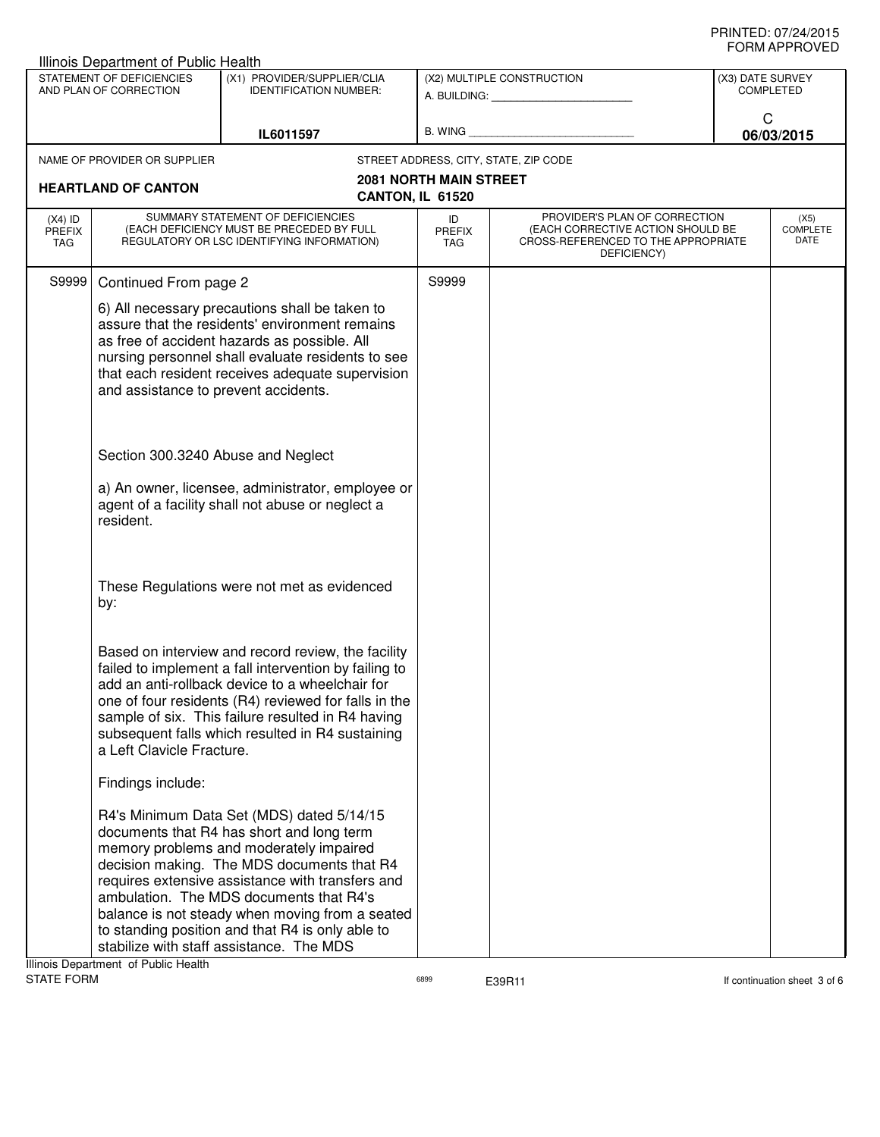| Illinois Department of Public Health                                                                                |                                      |                                                                                                                                                                                                                                                                                                                                                                                                                                   |                                                   |                                                                                                                          |                 | ᅴᄖᄞᇊᆝᆝᇅ៴ᄂ                |
|---------------------------------------------------------------------------------------------------------------------|--------------------------------------|-----------------------------------------------------------------------------------------------------------------------------------------------------------------------------------------------------------------------------------------------------------------------------------------------------------------------------------------------------------------------------------------------------------------------------------|---------------------------------------------------|--------------------------------------------------------------------------------------------------------------------------|-----------------|--------------------------|
| STATEMENT OF DEFICIENCIES<br>(X1) PROVIDER/SUPPLIER/CLIA<br>AND PLAN OF CORRECTION<br><b>IDENTIFICATION NUMBER:</b> |                                      | (X2) MULTIPLE CONSTRUCTION<br>A. BUILDING: <b>A. BUILDING:</b>                                                                                                                                                                                                                                                                                                                                                                    |                                                   | (X3) DATE SURVEY<br><b>COMPLETED</b>                                                                                     |                 |                          |
| IL6011597                                                                                                           |                                      |                                                                                                                                                                                                                                                                                                                                                                                                                                   | B. WING <b>Example 2008</b>                       |                                                                                                                          | C<br>06/03/2015 |                          |
|                                                                                                                     | NAME OF PROVIDER OR SUPPLIER         |                                                                                                                                                                                                                                                                                                                                                                                                                                   |                                                   | STREET ADDRESS, CITY, STATE, ZIP CODE                                                                                    |                 |                          |
|                                                                                                                     | <b>HEARTLAND OF CANTON</b>           |                                                                                                                                                                                                                                                                                                                                                                                                                                   | <b>2081 NORTH MAIN STREET</b><br>CANTON, IL 61520 |                                                                                                                          |                 |                          |
| $(X4)$ ID<br><b>PREFIX</b><br>TAG                                                                                   |                                      | SUMMARY STATEMENT OF DEFICIENCIES<br>(EACH DEFICIENCY MUST BE PRECEDED BY FULL<br>REGULATORY OR LSC IDENTIFYING INFORMATION)                                                                                                                                                                                                                                                                                                      | ID<br><b>PREFIX</b><br>TAG                        | PROVIDER'S PLAN OF CORRECTION<br>(EACH CORRECTIVE ACTION SHOULD BE<br>CROSS-REFERENCED TO THE APPROPRIATE<br>DEFICIENCY) |                 | (X5)<br>COMPLETE<br>DATE |
| S9999                                                                                                               | Continued From page 2                |                                                                                                                                                                                                                                                                                                                                                                                                                                   | S9999                                             |                                                                                                                          |                 |                          |
|                                                                                                                     | and assistance to prevent accidents. | 6) All necessary precautions shall be taken to<br>assure that the residents' environment remains<br>as free of accident hazards as possible. All<br>nursing personnel shall evaluate residents to see<br>that each resident receives adequate supervision                                                                                                                                                                         |                                                   |                                                                                                                          |                 |                          |
|                                                                                                                     | Section 300.3240 Abuse and Neglect   |                                                                                                                                                                                                                                                                                                                                                                                                                                   |                                                   |                                                                                                                          |                 |                          |
|                                                                                                                     | resident.                            | a) An owner, licensee, administrator, employee or<br>agent of a facility shall not abuse or neglect a                                                                                                                                                                                                                                                                                                                             |                                                   |                                                                                                                          |                 |                          |
|                                                                                                                     | by:                                  | These Regulations were not met as evidenced                                                                                                                                                                                                                                                                                                                                                                                       |                                                   |                                                                                                                          |                 |                          |
|                                                                                                                     | a Left Clavicle Fracture.            | Based on interview and record review, the facility<br>failed to implement a fall intervention by failing to<br>add an anti-rollback device to a wheelchair for<br>one of four residents (R4) reviewed for falls in the<br>sample of six. This failure resulted in R4 having<br>subsequent falls which resulted in R4 sustaining                                                                                                   |                                                   |                                                                                                                          |                 |                          |
|                                                                                                                     | Findings include:                    |                                                                                                                                                                                                                                                                                                                                                                                                                                   |                                                   |                                                                                                                          |                 |                          |
|                                                                                                                     |                                      | R4's Minimum Data Set (MDS) dated 5/14/15<br>documents that R4 has short and long term<br>memory problems and moderately impaired<br>decision making. The MDS documents that R4<br>requires extensive assistance with transfers and<br>ambulation. The MDS documents that R4's<br>balance is not steady when moving from a seated<br>to standing position and that R4 is only able to<br>stabilize with staff assistance. The MDS |                                                   |                                                                                                                          |                 |                          |

Illinois Department of Public Health<br>STATE FORM

assets of the E39R11 continuation sheet 3 of 6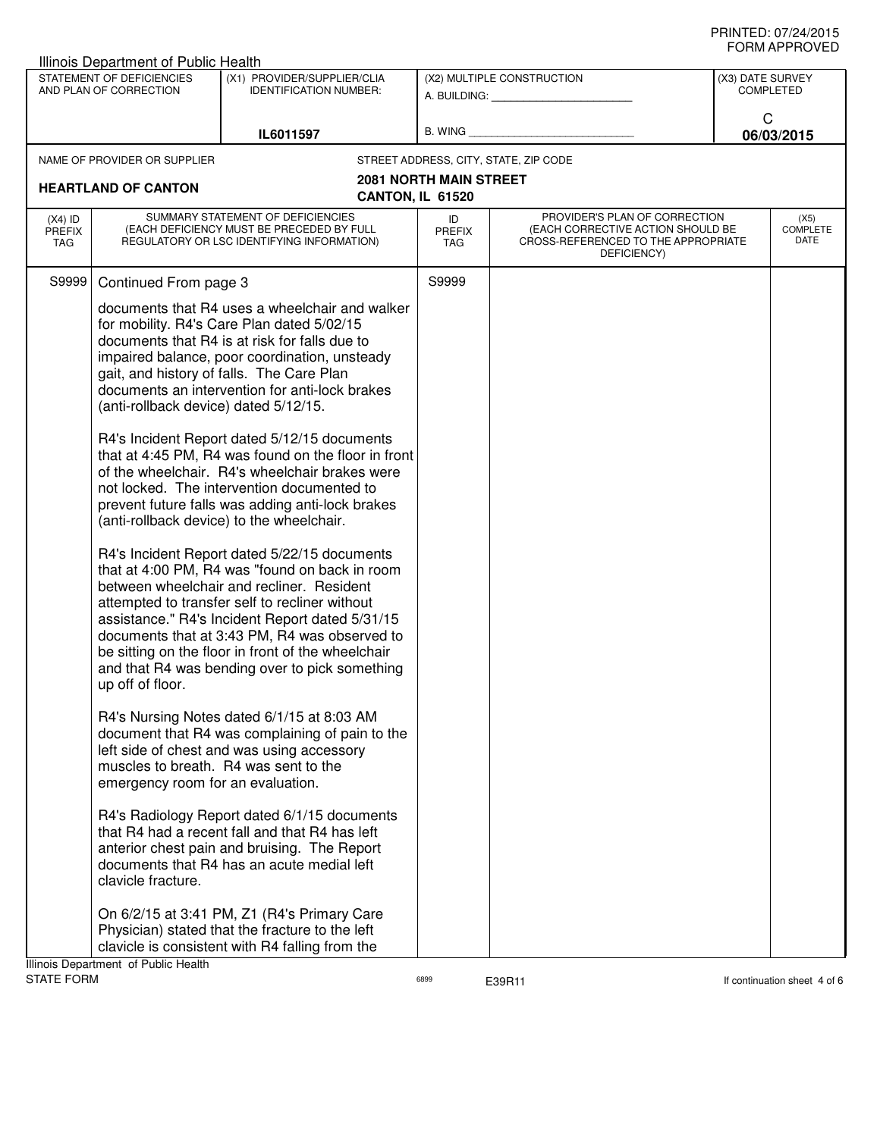| <b>Illinois Department of Public Health</b>                                                                                      |                                                           |                                                                                                                                                                                                                                                                                                                                                                                                                                                                                                                                                                                                                                                                                                                                                                                                                                                                                                                                                                                                                    |                                               |                                                                                                                          |                                                         |                                 |  |
|----------------------------------------------------------------------------------------------------------------------------------|-----------------------------------------------------------|--------------------------------------------------------------------------------------------------------------------------------------------------------------------------------------------------------------------------------------------------------------------------------------------------------------------------------------------------------------------------------------------------------------------------------------------------------------------------------------------------------------------------------------------------------------------------------------------------------------------------------------------------------------------------------------------------------------------------------------------------------------------------------------------------------------------------------------------------------------------------------------------------------------------------------------------------------------------------------------------------------------------|-----------------------------------------------|--------------------------------------------------------------------------------------------------------------------------|---------------------------------------------------------|---------------------------------|--|
| STATEMENT OF DEFICIENCIES<br>(X1) PROVIDER/SUPPLIER/CLIA<br>AND PLAN OF CORRECTION<br><b>IDENTIFICATION NUMBER:</b><br>IL6011597 |                                                           |                                                                                                                                                                                                                                                                                                                                                                                                                                                                                                                                                                                                                                                                                                                                                                                                                                                                                                                                                                                                                    | (X2) MULTIPLE CONSTRUCTION<br>A. BUILDING: A. |                                                                                                                          | (X3) DATE SURVEY<br><b>COMPLETED</b><br>C<br>06/03/2015 |                                 |  |
|                                                                                                                                  |                                                           | B. WING                                                                                                                                                                                                                                                                                                                                                                                                                                                                                                                                                                                                                                                                                                                                                                                                                                                                                                                                                                                                            |                                               |                                                                                                                          |                                                         |                                 |  |
|                                                                                                                                  | NAME OF PROVIDER OR SUPPLIER                              |                                                                                                                                                                                                                                                                                                                                                                                                                                                                                                                                                                                                                                                                                                                                                                                                                                                                                                                                                                                                                    |                                               | STREET ADDRESS, CITY, STATE, ZIP CODE                                                                                    |                                                         |                                 |  |
|                                                                                                                                  | <b>HEARTLAND OF CANTON</b>                                | CANTON, IL 61520                                                                                                                                                                                                                                                                                                                                                                                                                                                                                                                                                                                                                                                                                                                                                                                                                                                                                                                                                                                                   | <b>2081 NORTH MAIN STREET</b>                 |                                                                                                                          |                                                         |                                 |  |
| $(X4)$ ID<br><b>PREFIX</b><br>TAG                                                                                                |                                                           | SUMMARY STATEMENT OF DEFICIENCIES<br>(EACH DEFICIENCY MUST BE PRECEDED BY FULL<br>REGULATORY OR LSC IDENTIFYING INFORMATION)                                                                                                                                                                                                                                                                                                                                                                                                                                                                                                                                                                                                                                                                                                                                                                                                                                                                                       | ID<br><b>PREFIX</b><br>TAG                    | PROVIDER'S PLAN OF CORRECTION<br>(EACH CORRECTIVE ACTION SHOULD BE<br>CROSS-REFERENCED TO THE APPROPRIATE<br>DEFICIENCY) |                                                         | (X5)<br><b>COMPLETE</b><br>DATE |  |
| S9999                                                                                                                            | Continued From page 3                                     |                                                                                                                                                                                                                                                                                                                                                                                                                                                                                                                                                                                                                                                                                                                                                                                                                                                                                                                                                                                                                    | S9999                                         |                                                                                                                          |                                                         |                                 |  |
|                                                                                                                                  | (anti-rollback device) dated 5/12/15.<br>up off of floor. | documents that R4 uses a wheelchair and walker<br>for mobility. R4's Care Plan dated 5/02/15<br>documents that R4 is at risk for falls due to<br>impaired balance, poor coordination, unsteady<br>gait, and history of falls. The Care Plan<br>documents an intervention for anti-lock brakes<br>R4's Incident Report dated 5/12/15 documents<br>that at 4:45 PM, R4 was found on the floor in front<br>of the wheelchair. R4's wheelchair brakes were<br>not locked. The intervention documented to<br>prevent future falls was adding anti-lock brakes<br>(anti-rollback device) to the wheelchair.<br>R4's Incident Report dated 5/22/15 documents<br>that at 4:00 PM, R4 was "found on back in room<br>between wheelchair and recliner. Resident<br>attempted to transfer self to recliner without<br>assistance." R4's Incident Report dated 5/31/15<br>documents that at 3:43 PM, R4 was observed to<br>be sitting on the floor in front of the wheelchair<br>and that R4 was bending over to pick something |                                               |                                                                                                                          |                                                         |                                 |  |
|                                                                                                                                  | emergency room for an evaluation.                         | R4's Nursing Notes dated 6/1/15 at 8:03 AM<br>document that R4 was complaining of pain to the<br>left side of chest and was using accessory<br>muscles to breath. R4 was sent to the                                                                                                                                                                                                                                                                                                                                                                                                                                                                                                                                                                                                                                                                                                                                                                                                                               |                                               |                                                                                                                          |                                                         |                                 |  |
|                                                                                                                                  | clavicle fracture.                                        | R4's Radiology Report dated 6/1/15 documents<br>that R4 had a recent fall and that R4 has left<br>anterior chest pain and bruising. The Report<br>documents that R4 has an acute medial left                                                                                                                                                                                                                                                                                                                                                                                                                                                                                                                                                                                                                                                                                                                                                                                                                       |                                               |                                                                                                                          |                                                         |                                 |  |
|                                                                                                                                  | Illinois Department of Public Health                      | On 6/2/15 at 3:41 PM, Z1 (R4's Primary Care<br>Physician) stated that the fracture to the left<br>clavicle is consistent with R4 falling from the                                                                                                                                                                                                                                                                                                                                                                                                                                                                                                                                                                                                                                                                                                                                                                                                                                                                  |                                               |                                                                                                                          |                                                         |                                 |  |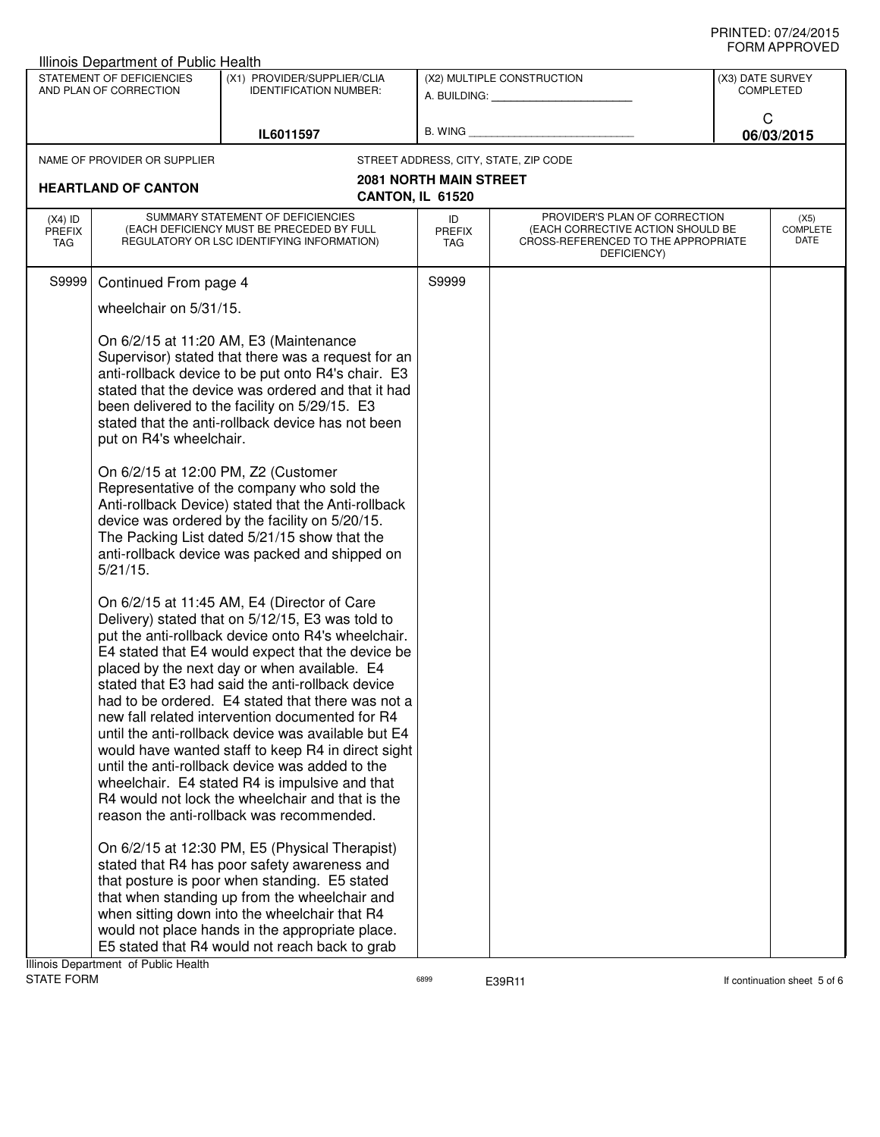| Illinois Department of Public Health                                                                                |                                                                                                                                                                                                                                                                                                                                                                                                                                                                                                                                                                                                                                                                                                                                                                                                                                                                                                                                                                                                                                                                                                                    |                                                                                                                                                                                                                                                                                                                                                                                                                                                                                                                                                                         |                               |                                                                                                                          | ᅴᄖᄞᇊᆝᆝᇅ៴ᄂ                |
|---------------------------------------------------------------------------------------------------------------------|--------------------------------------------------------------------------------------------------------------------------------------------------------------------------------------------------------------------------------------------------------------------------------------------------------------------------------------------------------------------------------------------------------------------------------------------------------------------------------------------------------------------------------------------------------------------------------------------------------------------------------------------------------------------------------------------------------------------------------------------------------------------------------------------------------------------------------------------------------------------------------------------------------------------------------------------------------------------------------------------------------------------------------------------------------------------------------------------------------------------|-------------------------------------------------------------------------------------------------------------------------------------------------------------------------------------------------------------------------------------------------------------------------------------------------------------------------------------------------------------------------------------------------------------------------------------------------------------------------------------------------------------------------------------------------------------------------|-------------------------------|--------------------------------------------------------------------------------------------------------------------------|--------------------------|
| STATEMENT OF DEFICIENCIES<br>(X1) PROVIDER/SUPPLIER/CLIA<br>AND PLAN OF CORRECTION<br><b>IDENTIFICATION NUMBER:</b> |                                                                                                                                                                                                                                                                                                                                                                                                                                                                                                                                                                                                                                                                                                                                                                                                                                                                                                                                                                                                                                                                                                                    | (X2) MULTIPLE CONSTRUCTION<br>A. BUILDING: A. BUILDING:                                                                                                                                                                                                                                                                                                                                                                                                                                                                                                                 |                               | (X3) DATE SURVEY<br><b>COMPLETED</b>                                                                                     |                          |
|                                                                                                                     |                                                                                                                                                                                                                                                                                                                                                                                                                                                                                                                                                                                                                                                                                                                                                                                                                                                                                                                                                                                                                                                                                                                    | IL6011597                                                                                                                                                                                                                                                                                                                                                                                                                                                                                                                                                               | B. WING                       |                                                                                                                          | C<br>06/03/2015          |
|                                                                                                                     | NAME OF PROVIDER OR SUPPLIER                                                                                                                                                                                                                                                                                                                                                                                                                                                                                                                                                                                                                                                                                                                                                                                                                                                                                                                                                                                                                                                                                       |                                                                                                                                                                                                                                                                                                                                                                                                                                                                                                                                                                         |                               | STREET ADDRESS, CITY, STATE, ZIP CODE                                                                                    |                          |
|                                                                                                                     | <b>HEARTLAND OF CANTON</b>                                                                                                                                                                                                                                                                                                                                                                                                                                                                                                                                                                                                                                                                                                                                                                                                                                                                                                                                                                                                                                                                                         | CANTON, IL 61520                                                                                                                                                                                                                                                                                                                                                                                                                                                                                                                                                        | <b>2081 NORTH MAIN STREET</b> |                                                                                                                          |                          |
| $(X4)$ ID<br><b>PREFIX</b><br>TAG                                                                                   |                                                                                                                                                                                                                                                                                                                                                                                                                                                                                                                                                                                                                                                                                                                                                                                                                                                                                                                                                                                                                                                                                                                    | SUMMARY STATEMENT OF DEFICIENCIES<br>(EACH DEFICIENCY MUST BE PRECEDED BY FULL<br>REGULATORY OR LSC IDENTIFYING INFORMATION)                                                                                                                                                                                                                                                                                                                                                                                                                                            | ID<br><b>PREFIX</b><br>TAG    | PROVIDER'S PLAN OF CORRECTION<br>(EACH CORRECTIVE ACTION SHOULD BE<br>CROSS-REFERENCED TO THE APPROPRIATE<br>DEFICIENCY) | (X5)<br>COMPLETE<br>DATE |
| S9999                                                                                                               | Continued From page 4                                                                                                                                                                                                                                                                                                                                                                                                                                                                                                                                                                                                                                                                                                                                                                                                                                                                                                                                                                                                                                                                                              |                                                                                                                                                                                                                                                                                                                                                                                                                                                                                                                                                                         | S9999                         |                                                                                                                          |                          |
|                                                                                                                     | wheelchair on 5/31/15.                                                                                                                                                                                                                                                                                                                                                                                                                                                                                                                                                                                                                                                                                                                                                                                                                                                                                                                                                                                                                                                                                             |                                                                                                                                                                                                                                                                                                                                                                                                                                                                                                                                                                         |                               |                                                                                                                          |                          |
|                                                                                                                     | put on R4's wheelchair.<br>On 6/2/15 at 12:00 PM, Z2 (Customer                                                                                                                                                                                                                                                                                                                                                                                                                                                                                                                                                                                                                                                                                                                                                                                                                                                                                                                                                                                                                                                     | On 6/2/15 at 11:20 AM, E3 (Maintenance<br>Supervisor) stated that there was a request for an<br>anti-rollback device to be put onto R4's chair. E3<br>stated that the device was ordered and that it had<br>been delivered to the facility on 5/29/15. E3<br>stated that the anti-rollback device has not been<br>Representative of the company who sold the<br>Anti-rollback Device) stated that the Anti-rollback<br>device was ordered by the facility on 5/20/15.<br>The Packing List dated 5/21/15 show that the<br>anti-rollback device was packed and shipped on |                               |                                                                                                                          |                          |
| Ilinois Department of Public Hoolth                                                                                 | $5/21/15$ .<br>On 6/2/15 at 11:45 AM, E4 (Director of Care<br>Delivery) stated that on 5/12/15, E3 was told to<br>put the anti-rollback device onto R4's wheelchair.<br>E4 stated that E4 would expect that the device be<br>placed by the next day or when available. E4<br>stated that E3 had said the anti-rollback device<br>had to be ordered. E4 stated that there was not a<br>new fall related intervention documented for R4<br>until the anti-rollback device was available but E4<br>would have wanted staff to keep R4 in direct sight<br>until the anti-rollback device was added to the<br>wheelchair. E4 stated R4 is impulsive and that<br>R4 would not lock the wheelchair and that is the<br>reason the anti-rollback was recommended.<br>On 6/2/15 at 12:30 PM, E5 (Physical Therapist)<br>stated that R4 has poor safety awareness and<br>that posture is poor when standing. E5 stated<br>that when standing up from the wheelchair and<br>when sitting down into the wheelchair that R4<br>would not place hands in the appropriate place.<br>E5 stated that R4 would not reach back to grab |                                                                                                                                                                                                                                                                                                                                                                                                                                                                                                                                                                         |                               |                                                                                                                          |                          |